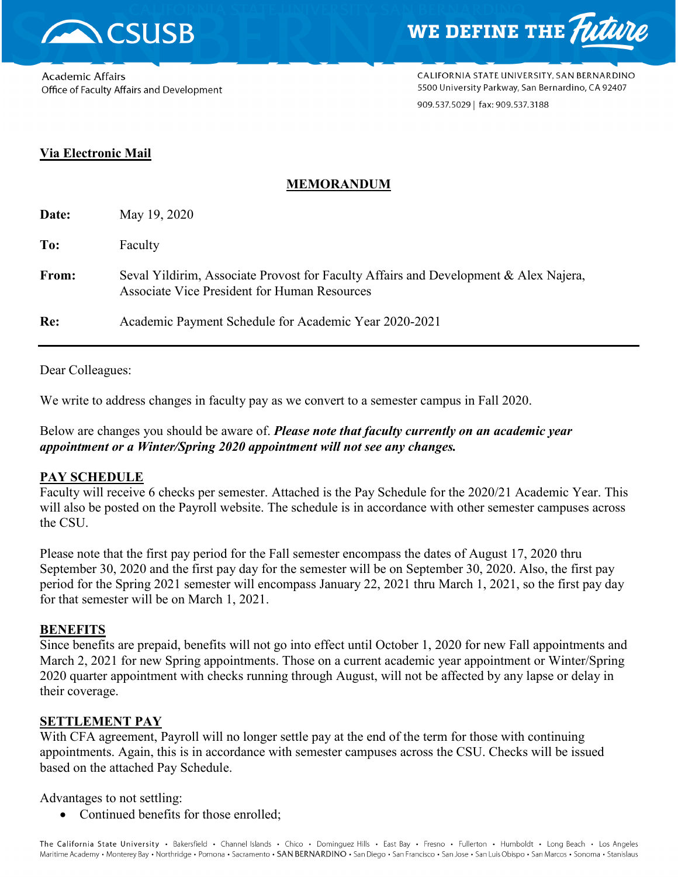



Academic Affairs Office of Faculty Affairs and Development CALIFORNIA STATE UNIVERSITY, SAN BERNARDINO 5500 University Parkway, San Bernardino, CA 92407 909.537.5029 | fax: 909.537.3188

# **Via Electronic Mail**

# **MEMORANDUM**

| Date: | May 19, 2020                                                                                                                                |
|-------|---------------------------------------------------------------------------------------------------------------------------------------------|
| To:   | Faculty                                                                                                                                     |
| From: | Seval Yildirim, Associate Provost for Faculty Affairs and Development & Alex Najera,<br><b>Associate Vice President for Human Resources</b> |
| Re:   | Academic Payment Schedule for Academic Year 2020-2021                                                                                       |

Dear Colleagues:

We write to address changes in faculty pay as we convert to a semester campus in Fall 2020.

Below are changes you should be aware of. *Please note that faculty currently on an academic year appointment or a Winter/Spring 2020 appointment will not see any changes.* 

### **PAY SCHEDULE**

Faculty will receive 6 checks per semester. Attached is the Pay Schedule for the 2020/21 Academic Year. This will also be posted on the Payroll website. The schedule is in accordance with other semester campuses across the CSU.

Please note that the first pay period for the Fall semester encompass the dates of August 17, 2020 thru September 30, 2020 and the first pay day for the semester will be on September 30, 2020. Also, the first pay period for the Spring 2021 semester will encompass January 22, 2021 thru March 1, 2021, so the first pay day for that semester will be on March 1, 2021.

### **BENEFITS**

Since benefits are prepaid, benefits will not go into effect until October 1, 2020 for new Fall appointments and March 2, 2021 for new Spring appointments. Those on a current academic year appointment or Winter/Spring 2020 quarter appointment with checks running through August, will not be affected by any lapse or delay in their coverage.

## **SETTLEMENT PAY**

With CFA agreement, Payroll will no longer settle pay at the end of the term for those with continuing appointments. Again, this is in accordance with semester campuses across the CSU. Checks will be issued based on the attached Pay Schedule.

Advantages to not settling:

• Continued benefits for those enrolled;